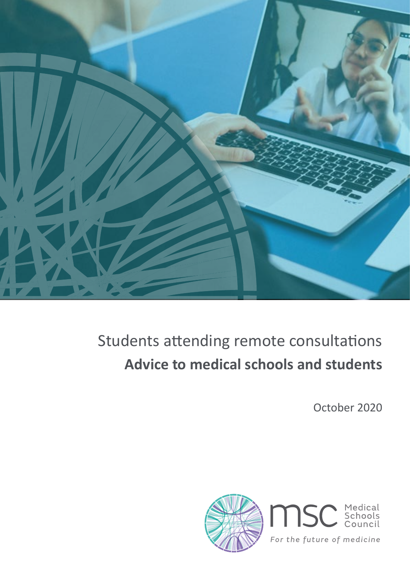

#### Students attending remote consultations **Advice to medical schools and students**

October 2020

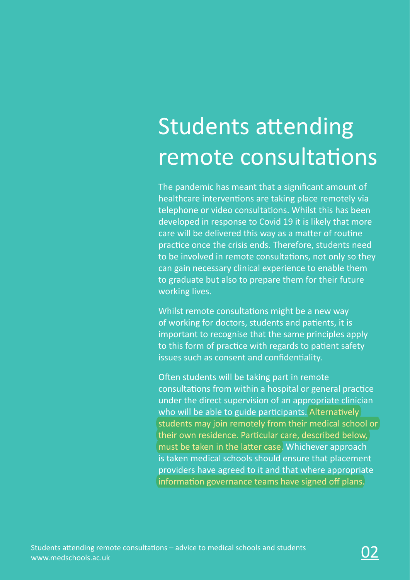# Students attending remote consultations

The pandemic has meant that a significant amount of healthcare interventions are taking place remotely via telephone or video consultations. Whilst this has been developed in response to Covid 19 it is likely that more care will be delivered this way as a matter of routine practice once the crisis ends. Therefore, students need to be involved in remote consultations, not only so they can gain necessary clinical experience to enable them to graduate but also to prepare them for their future working lives.

Whilst remote consultations might be a new way of working for doctors, students and patients, it is important to recognise that the same principles apply to this form of practice with regards to patient safety issues such as consent and confidentiality.

Often students will be taking part in remote consultations from within a hospital or general practice under the direct supervision of an appropriate clinician who will be able to guide participants. Alternatively students may join remotely from their medical school or their own residence. Particular care, described below, must be taken in the latter case. Whichever approach is taken medical schools should ensure that placement providers have agreed to it and that where appropriate information governance teams have signed off plans.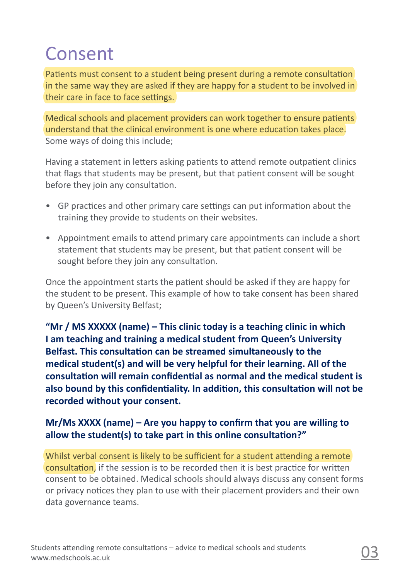#### Consent

Patients must consent to a student being present during a remote consultation in the same way they are asked if they are happy for a student to be involved in their care in face to face settings.

Medical schools and placement providers can work together to ensure patients understand that the clinical environment is one where education takes place. Some ways of doing this include;

Having a statement in letters asking patients to attend remote outpatient clinics that flags that students may be present, but that patient consent will be sought before they join any consultation.

- GP practices and other primary care settings can put information about the training they provide to students on their websites.
- Appointment emails to attend primary care appointments can include a short statement that students may be present, but that patient consent will be sought before they join any consultation.

Once the appointment starts the patient should be asked if they are happy for the student to be present. This example of how to take consent has been shared by Queen's University Belfast;

**"Mr / MS XXXXX (name) – This clinic today is a teaching clinic in which I am teaching and training a medical student from Queen's University Belfast. This consultation can be streamed simultaneously to the medical student(s) and will be very helpful for their learning. All of the consultation will remain confidential as normal and the medical student is also bound by this confidentiality. In addition, this consultation will not be recorded without your consent.**

#### **Mr/Ms XXXX (name) – Are you happy to confirm that you are willing to allow the student(s) to take part in this online consultation?"**

Whilst verbal consent is likely to be sufficient for a student attending a remote consultation, if the session is to be recorded then it is best practice for written consent to be obtained. Medical schools should always discuss any consent forms or privacy notices they plan to use with their placement providers and their own data governance teams.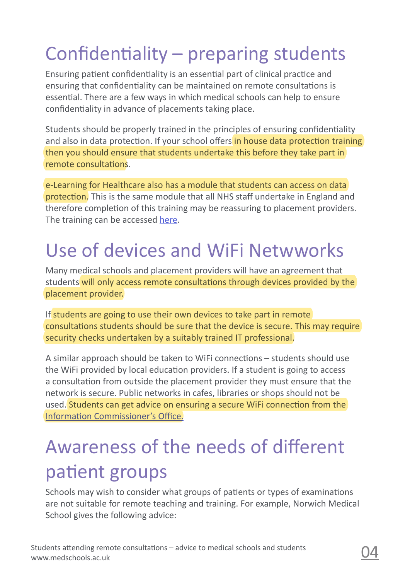# Confidentiality – preparing students

Ensuring patient confidentiality is an essential part of clinical practice and ensuring that confidentiality can be maintained on remote consultations is essential. There are a few ways in which medical schools can help to ensure confidentiality in advance of placements taking place.

Students should be properly trained in the principles of ensuring confidentiality and also in data protection. If your school offers in house data protection training then you should ensure that students undertake this before they take part in remote consultations.

e-Learning for Healthcare also has a module that students can access on data protection. This is the same module that all NHS staff undertake in England and therefore completion of this training may be reassuring to placement providers. The training can be accessed [here](https://www.e-lfh.org.uk/programmes/data-security-awareness/).

#### Use of devices and WiFi Netwworks

Many medical schools and placement providers will have an agreement that students will only access remote consultations through devices provided by the placement provider.

If students are going to use their own devices to take part in remote consultations students should be sure that the device is secure. This may require security checks undertaken by a suitably trained IT professional.

A similar approach should be taken to WiFi connections – students should use the WiFi provided by local education providers. If a student is going to access a consultation from outside the placement provider they must ensure that the network is secure. Public networks in cafes, libraries or shops should not be used. Students can get advice on ensuring a secure WiFi connection from the [Information Commissioner's Office](https://ico.org.uk/your-data-matters/online/wifi-security/ ).

### Awareness of the needs of different patient groups

Schools may wish to consider what groups of patients or types of examinations are not suitable for remote teaching and training. For example, Norwich Medical School gives the following advice: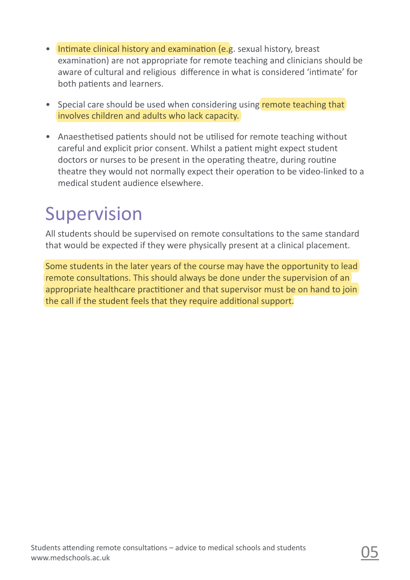- Intimate clinical history and examination (e.g. sexual history, breast examination) are not appropriate for remote teaching and clinicians should be aware of cultural and religious difference in what is considered 'intimate' for both patients and learners.
- Special care should be used when considering using remote teaching that involves children and adults who lack capacity.
- Anaesthetised patients should not be utilised for remote teaching without careful and explicit prior consent. Whilst a patient might expect student doctors or nurses to be present in the operating theatre, during routine theatre they would not normally expect their operation to be video-linked to a medical student audience elsewhere.

#### Supervision

All students should be supervised on remote consultations to the same standard that would be expected if they were physically present at a clinical placement.

Some students in the later years of the course may have the opportunity to lead remote consultations. This should always be done under the supervision of an appropriate healthcare practitioner and that supervisor must be on hand to join the call if the student feels that they require additional support.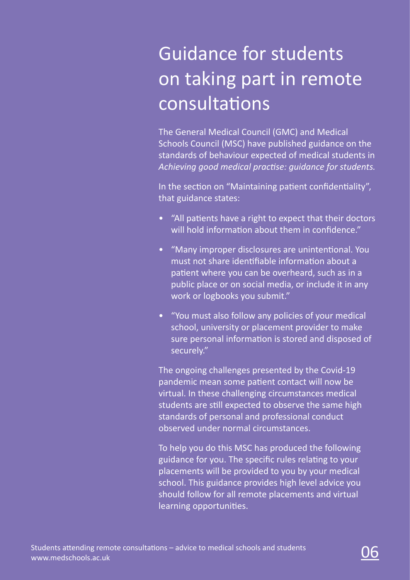## Guidance for students on taking part in remote **consultations**

The General Medical Council (GMC) and Medical Schools Council (MSC) have published guidance on the standards of behaviour expected of medical students in *Achieving good medical practise: guidance for students.*

In the section on "Maintaining patient confidentiality", that guidance states:

- "All patients have a right to expect that their doctors will hold information about them in confidence."
- "Many improper disclosures are unintentional. You must not share identifiable information about a patient where you can be overheard, such as in a public place or on social media, or include it in any work or logbooks you submit."
- "You must also follow any policies of your medical school, university or placement provider to make sure personal information is stored and disposed of securely."

The ongoing challenges presented by the Covid-19 pandemic mean some patient contact will now be virtual. In these challenging circumstances medical students are still expected to observe the same high standards of personal and professional conduct observed under normal circumstances.

To help you do this MSC has produced the following guidance for you. The specific rules relating to your placements will be provided to you by your medical school. This guidance provides high level advice you should follow for all remote placements and virtual learning opportunities.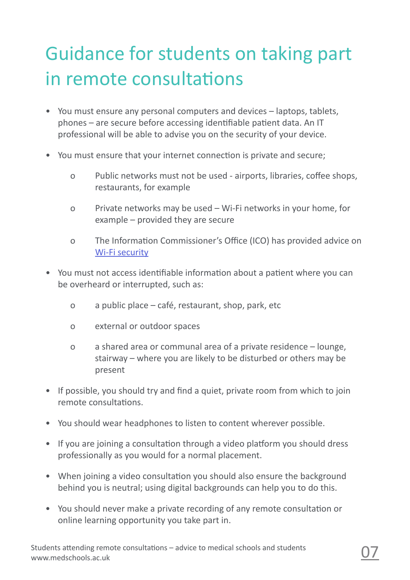## Guidance for students on taking part in remote consultations

- You must ensure any personal computers and devices laptops, tablets, phones – are secure before accessing identifiable patient data. An IT professional will be able to advise you on the security of your device.
- You must ensure that your internet connection is private and secure;
	- o Public networks must not be used airports, libraries, coffee shops, restaurants, for example
	- o Private networks may be used Wi-Fi networks in your home, for example – provided they are secure
	- o [The Informatio](https://ico.org.uk/your-data-matters/online/wifi-security/ )n Commissioner's Office (ICO) has provided advice on Wi-Fi security
- You must not access identifiable information about a patient where you can be overheard or interrupted, such as:
	- o a public place café, restaurant, shop, park, etc
	- o external or outdoor spaces
	- o a shared area or communal area of a private residence lounge, stairway – where you are likely to be disturbed or others may be present
- If possible, you should try and find a quiet, private room from which to join remote consultations.
- You should wear headphones to listen to content wherever possible.
- If you are joining a consultation through a video platform you should dress professionally as you would for a normal placement.
- When joining a video consultation you should also ensure the background behind you is neutral; using digital backgrounds can help you to do this.
- You should never make a private recording of any remote consultation or online learning opportunity you take part in.